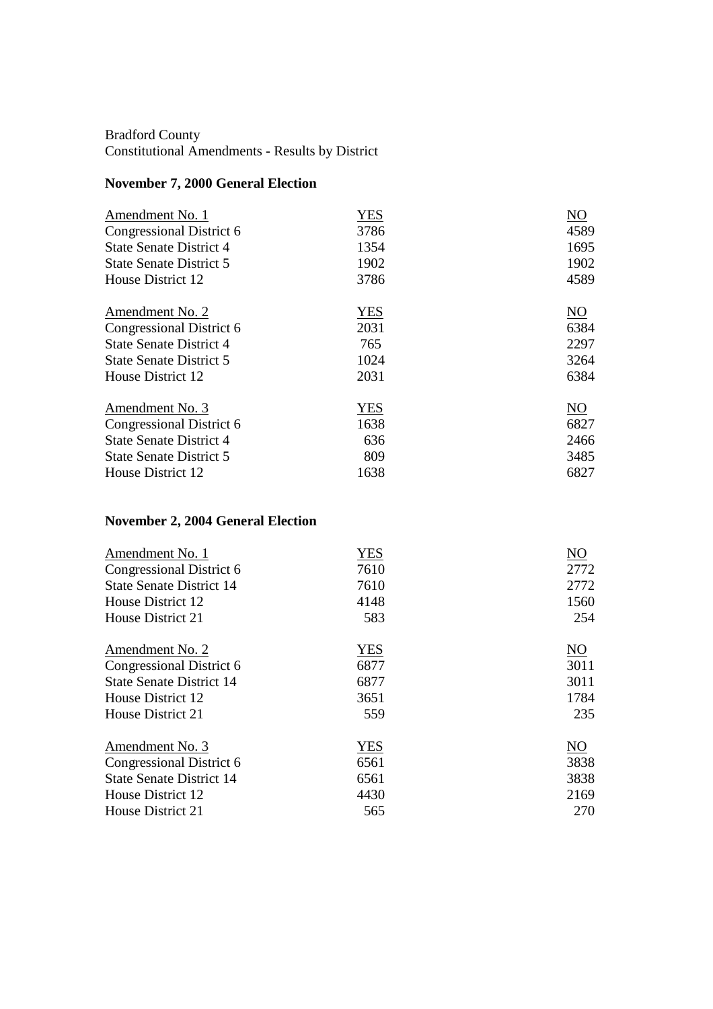Bradford County Constitutional Amendments - Results by District

## **November 7, 2000 General Election**

| Amendment No. 1                | <b>YES</b> | NO   |
|--------------------------------|------------|------|
| Congressional District 6       | 3786       | 4589 |
| <b>State Senate District 4</b> | 1354       | 1695 |
| State Senate District 5        | 1902       | 1902 |
| House District 12              | 3786       | 4589 |
| Amendment No. 2                | <b>YES</b> | NO   |
| Congressional District 6       | 2031       | 6384 |
| <b>State Senate District 4</b> | 765        | 2297 |
| State Senate District 5        | 1024       | 3264 |
| House District 12              | 2031       | 6384 |
| Amendment No. 3                | YES        | NO   |
| Congressional District 6       | 1638       | 6827 |
| <b>State Senate District 4</b> | 636        | 2466 |
| State Senate District 5        | 809        | 3485 |
| House District 12              | 1638       | 6827 |

## **November 2, 2004 General Election**

| Amendment No. 1                 | <b>YES</b> | NO              |
|---------------------------------|------------|-----------------|
| Congressional District 6        | 7610       | 2772            |
| <b>State Senate District 14</b> | 7610       | 2772            |
| House District 12               | 4148       | 1560            |
| House District 21               | 583        | 254             |
| Amendment No. 2                 | <b>YES</b> | $\overline{NO}$ |
| Congressional District 6        | 6877       | 3011            |
| <b>State Senate District 14</b> | 6877       | 3011            |
| House District 12               | 3651       | 1784            |
| House District 21               | 559        | 235             |
| Amendment No. 3                 | <b>YES</b> | $\overline{NO}$ |
| Congressional District 6        | 6561       | 3838            |
| <b>State Senate District 14</b> | 6561       | 3838            |
| House District 12               | 4430       | 2169            |
| House District 21               | 565        | 270             |